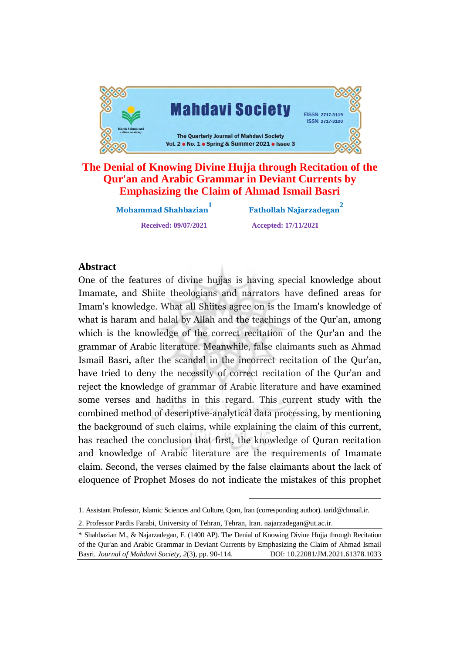

## **The Denial of Knowing Divine Hujja through Recitation of the Qur'an and Arabic Grammar in Deviant Currents by Emphasizing the Claim of Ahmad Ismail Basri**

**Mohammad Shahbazian1**

 **Fathollah Najarzadegan2 Received: 09/07/2021 Accepted: 17/11/2021**

#### **Abstract**

One of the features of divine hujjas is having special knowledge about One of the reatures of divine hujjas is having special knowledge about Imamate, and Shiite theologians and narrators have defined areas for Imam's knowledge. What all Shiites agree on is the Imam's knowledge of what is haram and halal by Allah and the teachings of the Qur'an, among what is naram and naial by Allian and the teachings of the Qur'an, among which is the Knowledge of the correct recitation of the Qui an and the Brainmar of Arabic incrature, Meanwhile, taise claimants such as Animau.<br>Ismail Basri, after the scandal in the incorrect recitation of the Qurlen. have tried to deny the scandal in the incorrect recitation of the Qur'an, have tried to deny the necessity of correct recitation of the Qur'an and reject the knowledge of grammar of Arabic literature and have examined. some verses and hadiths in this regard. This current study with the combined method of descriptive-analytical data processing, by mentioning the background of such claims, while explaining the claim of this current, has reached the conclusion that first, the knowledge of Quran recitation and knowledge of Arabic literature are the requirements of Imamate claim. Second, the verses claimed by the false claimants about the lack of eloquence of Prophet Moses do not indicate the mistakes of this prophet rd<br>val<br>pl<br>ne<br>re<br>e f

1. Assistant Professor, Islamic Sciences and Culture, Qom, Iran (corresponding author). [tarid@chmail.ir.](mailto:tarid@chmail.ir.) 

2. Professor Pardis Farabi, University of Tehran, Tehran, Iran. [najarzadegan@ut.ac.ir.](mailto:najarzadegan@ut.ac.ir.) 

<sup>\*</sup> Shahbazian M., & Najarzadegan, F. (1400 AP). The Denial of Knowing Divine Hujja through Recitation of the Qur'an and Arabic Grammar in Deviant Currents by Emphasizing the Claim of Ahmad Ismail Basri. *Journal of Mahdavi Society, 2*(3), pp. 90-114. DOI: 10.22081/JM.2021.61378.1033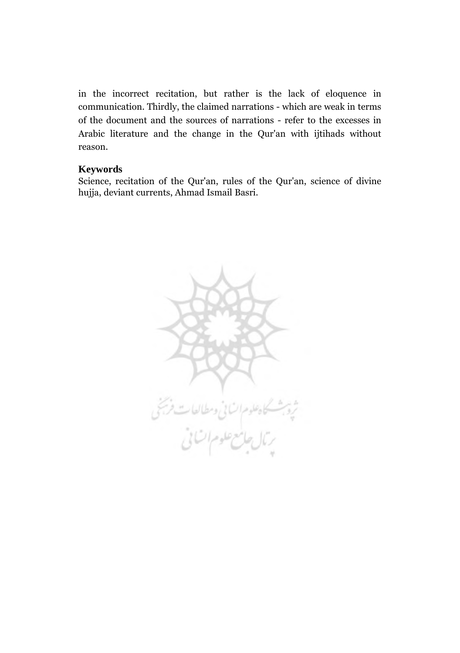in the incorrect recitation, but rather is the lack of eloquence in communication. Thirdly, the claimed narrations - which are weak in terms of the document and the sources of narrations - refer to the excesses in Arabic literature and the change in the Qur'an with ijtihads without reason.

#### **Keywords**

Science, recitation of the Qur'an, rules of the Qur'an, science of divine hujja, deviant currents, Ahmad Ismail Basri.

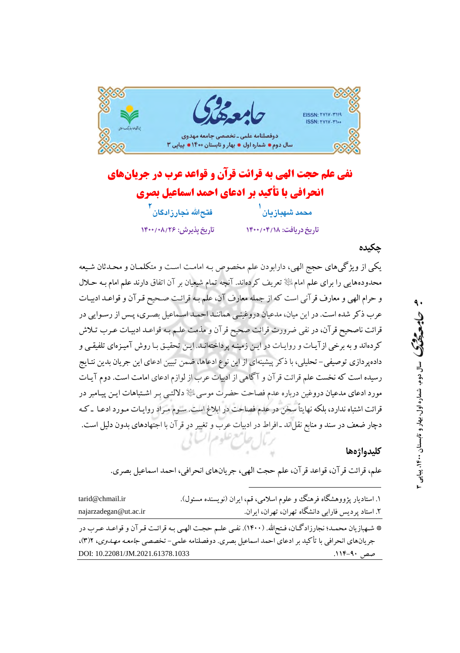



## چکیده

یکی از ویژگیهای حجج الهی، دارابودن علم مخصوص بـه امامـت اسـت و متکلمـان و محـدثان شـیعه محدودههایی را برای علم امامﷺ تعریف کردهاند. آنچه تمام شیعیان بر آن اتفاق دارند علم امام بـه حـلال و حرام الهي و معارف قرآني است كه از جمله معارف آن، علم بـه قرائـت صـحيح قـرآن و قواعـد ادبيـات عرب ذکر شده است. در این میان، مدعیان دروغینبی هماننـد احمـد اسـماعیل بصـری، پـس از رسـوایی در قرائت ناصحیح قر آن، در نفی ضرورت قرائت صحیح قر آن و مذمت علـم بـه قواعـد ادیبـات عـرب تـلاش کردهاند و به برخی از آیـات و روایـات در ایـن زمینـه پرداختهانـد. ایـن تحقیـق بـا روش آمیـزهای تلفیقـی و دادهپردازی توصیفی- تحلیلی، با ذکر پیشینهای از این نوع ادعاها، ضمن تبیین ادعای این جریان بدین نتـایج رسیده است که نخست علم قرائت قرآن و آگاهی از ادبیات عرب از لوازم ادعای امامت است. دوم آیـات مورد ادعای مدعیان دروغین درباره عدم فصاحت حضرت موسی ﷺ دلالتـی بـر اشـتباهات ایـن پیـامبر در قرائت اشتباه ندارد، بلکه نهایتاً سخن در عدم فصاحت در ابلاغ است. سـوم مـراد روایـات مـورد ادعـا ـ کـه دچار ضعف در سند و منابع نقلّاند ـ افراط در ادبیات عرب و تغییر در قرآن با اجتهادهای بدون دلیل است.

### كليدواژهها

علم، قرائت قرآن، قواعد قرآن، علم حجت الهي، جريانهاي انحرافي، احمد اسماعيل بصري.

| tarid@chmail.ir                  | ۱. استادیار پژووهشگاه فرهنگ و علوم اسلامی، قم، ایران (نویسنده مسئول).                                    |
|----------------------------------|----------------------------------------------------------------------------------------------------------|
| najarzadegan@ut.ac.ir            | ۲. استاد پردیس فارابی دانشگاه تهران، تهران، ایران.                                                       |
|                                  | * شـهبازيان محمـد؛ نجارزادگـان، فـتح لله. (١۴٠٠). نفـي علـم حجـت الهـي بـه قرائـت قـرآن و قواعـد عـرب در |
|                                  | جريانهاي انحرافي با تأكيد بر ادعاي احمد اسماعيل بصري. دوفصلنامه علمي-تخصصي جامعـه مهـلـوي، ٣)٢،          |
| DOI: 10.22081/JM.2021.61378.1033 | صص ۹۰–۱۱۴.                                                                                               |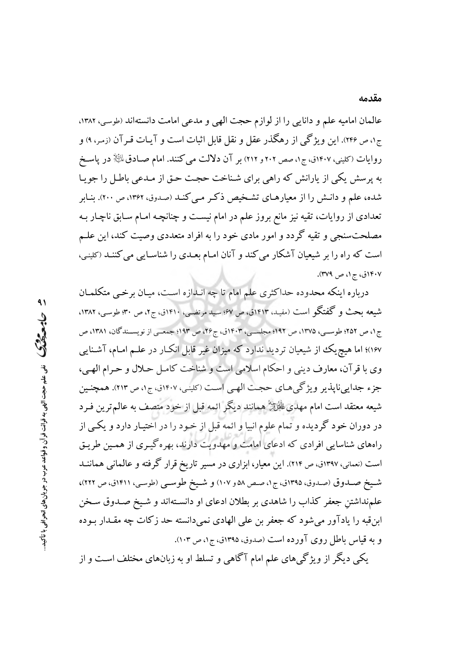عالمان اماميه علم و دانايي را از لوازم حجت الهي و مدعى امامت دانستهاند (طوسى، ١٣٨٢، ج۱، ص ۲۴۶). این ویژگی از رهگذر عقل و نقل قابل اثبات است و آیـات قـرآن (زمـر، ۹) و روایات (کلینی، ۱۴۰۷ق، ج۱، صص ۲۰۲ و ۲۱۲) بر آن دلالت می کنند. امام صـادق $\mathbb{P}^1$  در پاسـخ به پرسش یکی از پارانش که راهی برای شناخت حجت حـق از مـدعی باطـل را جویـا شده، علم و دانـش را از معیارهـای تشـخیص ذکـر مـی کنـد (صدوق، ۱۳۶۲، ص ۲۰۰). بنـابر تعدادی از روایات، تقیه نیز مانع بروز علم در امام نیست و چنانچـه امـام سـابق ناچـار بـه مصلحتسنجی و تقیه گردد و امور مادی خود را به افراد متعددی وصیت کند، این علـم است که راه را بر شیعیان آشکار می کند و آنان امـام بعـدی را شناسـایی می کننـد (کلینـی، ۱۴۰۷ق، ج۱، ص ۳۷۹).

درباره اینکه محدوده حداکثری علم امام تا چه انـدازه اسـت، میـان برخـی متکلمـان شيعه بحث و گفتگو است (مفيد. ١٤١٣ق، ص ۶۷: سيد مرتضى، ١٤١٠ق، ج٢، ص ٣٠: طوسى، ١٣٨٢، ج ۱، ص ۲۵۲؛ طوسـی، ۱۳۷۵، ص ۱۹۲، مجلسـی، ۱۴۰۳ق، ج۲۶، ص ۱۹۳؛ جمعـی از نویســندگان، ۱۳۸۱، ص ۱۶۷)؛ اما هیچ یک از شیعیان تردید ندارد که میزان غیر قابل انکـار در علـم امـام، آشـنایی وي با قرآن، معارف ديني و احكام اسلامي است و شناخت كامـل حـلال و حـرام الهـي، جزء جدابي نايذير ويژگي هـاي حجـت الهـي اسـت (كلينـي، ١٤٠٧ق، ج١، ص ٢١٣). همچنـين شیعه معتقد است امام مهدیﷺ همانند دیگر ائمه قبل از خود متصف به عالم ترین فـرد در دوران خود گردیده و تمام علوم انبیا و ائمه قبل از خـود را در اختیـار دارد و یکـی از راههای شناسایی افرادی که ادعای امامت و مهدویت دارند، بهرهگیـری از همـین طریـق است (نعمانی، ۱۳۹۷ق، ص ۲۱۴). این معیار، ابزاری در مسیر تاریخ قرار گرفته و عالمانی هماننــد شيخ صـدوق (صدوق، ١٣٩٥ق، ج١، صـص ٥٨ و ١٠٧) و شـيخ طوسـي (طوسـي، ١٤١١ق، ص ٢٢٢)، علمنداشتن جعفر كذاب را شاهدي بر بطلان ادعاى او دانسـتهاند و شـيخ صـدوق سـخن ابن قبه را یادآور می شود که جعفر بن علی الهادی نمی دانسته حد زکات چه مقـدار بـوده و به قیاس باطل روی آورده است (صدوق، ۱۳۹۵ق، ج۱، ص ۱۰۳).

یکی دیگر از ویژگیهای علم امام آگاهی و تسلط او به زبانهای مختلف است و از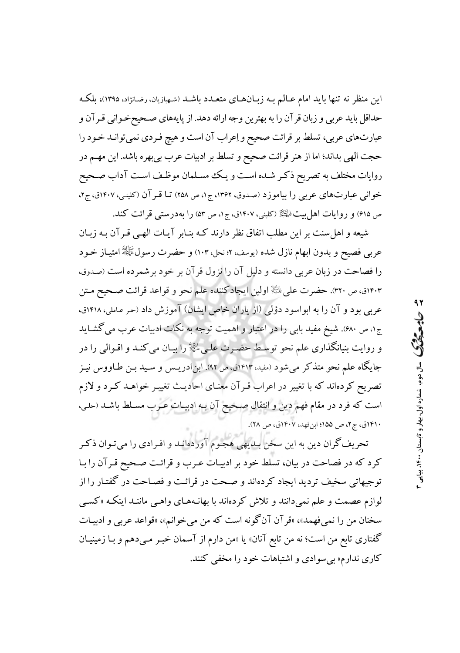این منظر نه تنها باید امام عـالـم بـه زبـانهـای متعـدد باشـد (شـهبازیان، رضـانژاد، ۱۳۹۵)، بلکـه حداقل بايد عربي و زبان قرآن را به بهترين وجه ارائه دهد. از پايههاي صـحيحخـواني قـرآن و عبارتهاي عربي، تسلط بر قرائت صحيح و اِعراب آن است و هيچ فـردي نمي توانـد خـود را حجت الهي بداند؛ اما از هنر قرائت صحيح و تسلط بر ادبيات عرب بي بهره باشد. اين مهـم در روایات مختلف به تصریح ذکر شـده اسـت و یـک مسـلمان موظـف اسـت آداب صـحیح خوانی عبارتهای عربی را بیاموزد (صدوق، ۱۳۶۲، ج۱، ص ۲۵۸) تـا قـرآن (کلینی، ۱۴۰۷ق، ج۲، ص ۶۱۵) و روایات اهل بیت الچَلِیْمُ (کلینی، ۱۴۰۷ق، ج۱، ص ۵۳) را بهدرستی قرائت کند.

شیعه و اهل سنت بر این مطلب اتفاق نظر دارند کـه بنـابر آیـات الهـی قـرآن بـه زبـان عربی فصیح و بدون ابهام نازل شده (یوسف، ۲؛ نحل، ۱۰۳) و حضرت رسولﷺ امتیـاز خـود را فصاحت در زبان عربی دانسته و دلیل آن را نزول قرآن بر خود برشمرده است (صدوق، ۱۴۰۳ق، ص ۳۲۰). حضرت على اللَّهِ اولين ايجادكننده علم نحو و قواعد قرائت صـحيح مـتن عربی بود و آن را به ابواسود دؤلی (از یاران خاص ایشان) آموزش داد (حر عاملی، ۱۴۱۸ق، ج۰، ص ۶۸۰). شیخ مفید بابی را در اعتبار و اهمیت توجه به نکات ادبیات عرب می گشـاید و روایت بنیانگذاری علم نحو توسط حضـرت علـی،ﷺ را بیـان می کنـد و اقـوالی را در جایگاه علم نحو متذکر می شود (مفید، ۱۴۱۳ق، ص ۹۲). ابن ادریـس و سـید بـن طـاووس نیـز تصریح کردهاند که با تغییر در اعراب قـرآن معنـای احادیـث تغییـر خواهـد کـرد و لازم است كه فرد در مقام فهم دين و انتقال صحيح آن بـه ادبيـات عـرب مسـلط باشـد (حلـي، ۱۴۱۰ق، ج۲، ص ۱۵۵؛ ابن فهد، ۱۴۰۷ق، ص ۲۸).

تحریف گران دین به این سخن بـدیهی هجـوم آوردهانـد و افـرادی را میتـوان ذکـر كرد كه در فصاحت در بيان، تسلط خود بر ادبيـات عـرب و قرائـت صـحيح قـرآن را بـا توجیهاتی سخیف تردید ایجاد کردهاند و صـحت در قرائـت و فصـاحت در گفتـار را از لوازم عصمت و علم نمیدانند و تلاش کردهاند با بهانـههـای واهـی ماننـد اینکـه «کسـی سخنان من را نمي فهمد»، «قرآن آنگونه است كه من مي خوانم»، «قواعد عربي و ادبيـات گفتاری تابع من است؛ نه من تابع آنان» یا «من دارم از آسمان خبـر مـیدهم و بـا زمینیـان کاري ندارم» بي سوادي و اشتباهات خو د را مخفي کنند.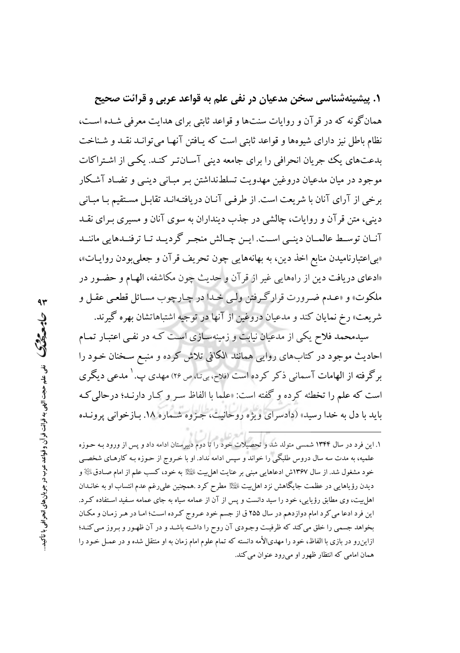۱. پیشینهشناسی سخن مدعیان در نفی علم به قواعد عربی و قرائت صحیح همان گونه که در قر آن و روایات سنتها و قواعد ثابتی برای هدایت معرفی شـده اسـت، نظام باطل نیز دارای شیوهها و قواعد ثابتی است که پـافتن آنهـا می توانـد نقـد و شـناخت بدعتهای یک جریان انحرافی را برای جامعه دینی آسان تر کنـد. یکـی از اشـتراکات موجود در میان مدعیان دروغین مهدویت تسلطنداشتن بـر مبـانی دینـی و تضـاد آشـکار برخی از آرای آنان با شریعت است. از طرفبی آنـان دریافتـهانـد تقابـل مسـتقیم بـا مبـانی دینبی، متن قرآن و روایات، چالشی در جذب دینداران به سوی آنان و مسیری بـرای نقــد آنیان توسیط عالمیان دینبی است. این چیالش منجیر گردیید تیا ترفنیدهایی ماننید «بی|عتبارنامیدن منابع اخذ دین، به بهانههایی چون تحریف قرآن و جعلی بودن روایـات»، «ادعای دریافت دین از راههایی غیر از قرآن و حدیث چون مکاشفه، الهام و حضـور در ملکوت» و «عـدم ضـرورت قرارگـرفتن ولـي خـدا در چـارچوب مسـائل قطعـي عقـل و شريعت» رخ نمايان كند و مدعيان دروغين از آنها در توجيه اشتباهاتشان بهره گيرند.

سیدمحمد فلاح یکی از مدعیان نیابت و زمینهسـازی اسـت کـه در نفـی اعتبـار تمـام احادیث موجود در کتابهای روایی همانند الکافی تلاش کرده و منبع سـخنان خـود را برگرفته از الهامات آسمانی ذکر کرده است (فلاح، بیتا، ص ۲۶) مهدی پ. ` مدعی دیگری است که علم را تخطئه کرده و گفته است: «علما با الفاظ سیر و کیار دارنید؛ در حالی کیه بايد با دل به خدا رسيد» (دادسراي ويژه روحانيت، جـزوه شـماره ١٨. بـازخواني پرونـده

۱. این فرد در سال ۱۳۴۴ شمسی متولد شد و تحصیلات خود را تا دوم دبیرستان ادامه داد و پس از ورود بـه حـوزه علمیه، به مدت سه سال دروس طلبگی را خواند و سپس ادامه نداد. او با خـروج از حـوزه بـه کارهـای شخصـی خود مشغول شد. از سال ۱۳۶۷ش ادعاهایی مبنی بر عنایت اهل بیت ایلیه به خود، کسب علم از امام صـادق $\mathbb{R}$  و دیدن رؤیاهایی در عظمت جایگاهش نزد اهل بیت ﷺ مطرح کرد .همچنین علی(غم عدم انتساب او به خانــدان اهل بیت، وی مطابق رؤیایی، خود را سید دانست و پس از آن از عمامه سیاه به جای عمامه سـفید اسـتفاده کـرد. این فرد ادعا می کرد امام دوازدهم در سال ۲۵۵ ق از جسم خود عـروج کـرده اسـت؛ امـا در هـر زمـان و مكـان بخواهد جسمي را خلق مي كند كه ظرفيت وجـودي آن روح را داشـته باشـد و در آن ظهـور و بـروز مـي كنـد؛ ازاینرو در بازی با الفاظ، خود را مهدیالأمه دانسته که تمام علوم امام زمان به او منتقل شده و در عمـل خـود را همان امامی که انتظار ظهور او میرود عنوان می کند.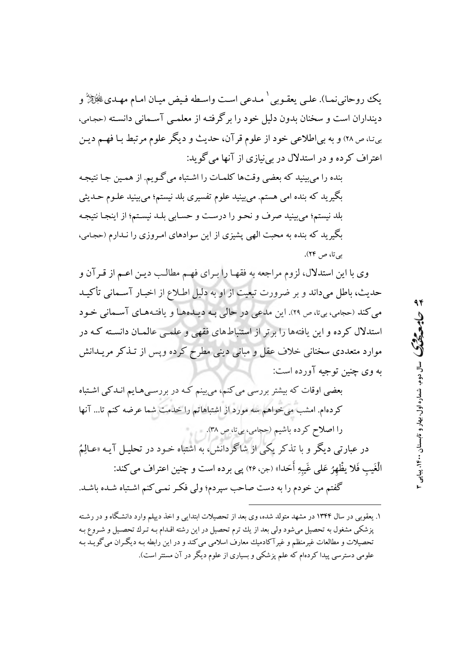يكِ روحاني نميا). علي يعقوبي ` مبدعي است واسطه فيض ميبان امبام مهيديﷺُ و دینداران است و سخنان بدون دلیل خود را برگرفته از معلمـی آسـمانی دانسـته (حجـامی، بیته ص ٢٨) و به بی اطلاعی خود از علوم قرآن، حدیث و دیگر علوم مرتبط بـا فهـم دیـن اعتراف کرده و در استدلال در بی نیازی از آنها می گوید:

بنده را می بینید که بعضی وقتها کلمـات را اشـتباه میگـویم. از همـین جـا نتیجـه بگیرید که بنده امی هستم. می بینید علوم تفسیری بلد نیستم؛ می بینید علـوم حـدیثی بلد نیستم؛ می بینید صرف و نحـو را درسـت و حسـابی بلـد نیسـتم؛ از اینجـا نتیجـه بگیرید که بنده به محبت الهی پشیزی از این سوادهای امـروزی را نـدارم (حجـامی، په تا، ص ۲۴).

وی با این استدلال، لزوم مراجعه به فقهـا را بـرای فهـم مطالـب ديـن اعـم از قـرآن و حدیث، باطل میداند و بر ضرورت تبعیت از او به دلیل اطلاع از اخبـار آسـمانی تأکیـد می کند (حجامی، بی تا، ص ٢٩). این مدعی در حالی به دیپدهها و یافتههای آسیمانی خود استدلال کرده و این یافتهها را برتر از استنباطهای فقهی و علمـی عالمـان دانسـته کـه در موارد متعددی سخنانی خلاف عقل و مبانی دینی مطرح کرده ویس از تـذکر مریـدانش په وي چنين توجيه آورده است:

بعضی اوقات که بیشتر بررسی می کنم، می بینم کـه در بررسـی هـایم انـدکـی اشـتباه کردهام. امشب می خواهم سه مورد از اشتباهاتم را خدمت شما عرضه کنم تا... آنها را اصلاح کرده باشیم (حجامی، بیتا، ص ۳۸). در عبارتی دیگر و با تذکر یکی از شاگردانش، به اشتباه خـود در تحلیـل آیـه «عـالِمُ

الْغَيبِ فَلا يظْهِرُ عَلى غَيبهِ أَحَدا» (جن، ٢۶) پي برده است و چنين اعتراف مي كند: گفتم من خودم را به دست صاحب سپردم؛ ولی فکر نمـی کنم اشـتباه شـده باشـد.

۱. یعقوبی در سال ۱۳۴۴ در مشهد متولد شده، وی بعد از تحصیلات ابتدایی و اخذ دیپلم وارد دانشگاه و در رشته یز شکی مشغول به تحصیل می شود ولی بعد از یك ترم تحصیل در این رشته اقـدام بـه تـرك تحصـیل و شـروع بـه تحصیلات و مطالعات غیرمنظم و غیرآکادمیك معارف اسلامی می كند و در این رابطه بـه دیگـران می گویــد بـه علومی دسترسی پیدا کردهام که علم پزشکی و بسیاری از علوم دیگر در آن مستتر است).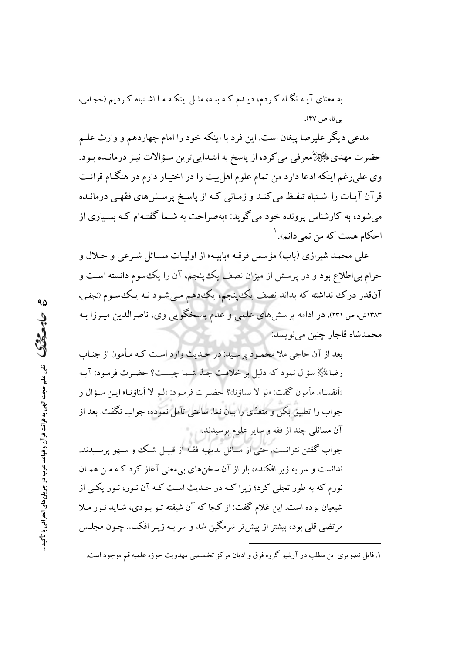به معنای آیـه نگـاه کـردم، دیـدم کـه بلـه، مثـل اینکـه مـا اشـتباه کـردیم (حجـامی، بي تا، ص ۴۷).

مدعی دیگر علیرضا پیغان است. این فرد با اینکه خود را امام چهاردهم و وارث علـم حضرت مهدي ﷺ معرفي مي كرد، از پاسخ به ابتـدايي ترين سـؤالات نيـز درمانـده بـود. وی علی رغم اینکه ادعا دارد من تمام علوم اهل بیت را در اختیـار دارم در هنگـام قرائـت قرآن آیـات را اشـتباه تلفـظ می کنـد و زمـانی کـه از پاسـخ پرسـش۵ای فقهـی درمانـده می شود، به کارشناس پرونده خود می گوید: «بهصراحت به شـما گفتـهام کـه بسـیاری از احکام هست که من نمی دانم». <sup>۱</sup>

علي محمد شيرازي (باب) مؤسس فرقـه «بابيـه» از اوليـات مسـائل شـرعي و حـلال و حرام بی|طلاع بود و در پرسش از میزان نصف یک پنجم، آن را یک سوم دانسته است و آنقدر درک نداشته که بداند نصف یک پنجم، یک دهم میشود نـه یـک سـوم (نجفی، ۱۳۸۳ش، ص ۲۳۱). در ادامه پرسشهای علمی و عدم پاسخگویی وی، ناصرالدین میـرزا بـه محمدشاه قاجار چنین می نویسد:

بعد از آن حاجي ملا محمود پرسيد: در حـديث وارد اسـت كـه مـأمون از جنـاب رضاءٌ لِكَيْلَا سؤال نمود كه دليل بر خلافت جيدٌ شيما چيست؟ حضيرت فرمبود: آيـه «أنفسنا». مأمون گفت: «لو لا نساؤنا»؟ حضـرت فرمـود: «لـو لا أبناؤنـا» ايـن سـؤال و جواب را تطبیق بکن و متعدّی را بیان نما. ساعتی تأمل نموده، جواب نگفت. بعد از آن مسائلی چند از فقه و سایر علوم پرسیدند.

جواب گفتن نتوانست. حتى از مسائل بديهيه فقـه از قبيـل شـك و سـهو پرسـيدند. ندانست و سر به زیر افکنده، باز از آن سخنهای بی معنی آغاز کرد کـه مـن همـان نورم که به طور تجلی کرد؛ زیرا کـه در حـدیث اسـت کـه آن نـور، نـور یکـم از شیعیان بوده است. این غلام گفت: از کجا که آن شیفته تـو بـودی، شـاید نـور مـلا مرتضی قلبی بود، بیشتر از پیش تر شرمگین شد و سر بـه زیـر افکنـد. چـون مجلـس

۱. فایل تصویری این مطلب در آرشیو گروه فرق و ادیان مرکز تخصصی مهدویت حوزه علمیه قم موجود است.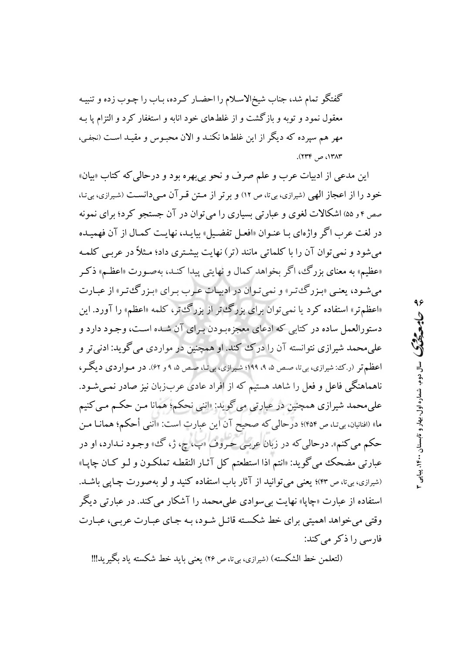گفتگو تمام شد، جناب شیخ|لاسلام را احضـار کـرده، بـاب را چـوب زده و تنبیـه معقول نمود و توبه و بازگشت و از غلطهای خود انابه و استغفار کرد و التزام یا بـه مهر هم سیرده که دیگر از این غلطها نکنـد و الان محبـوس و مقیـد اسـت (نجفـی، ١٣٨٣، ص ٢٣۴).

این مدعی از ادبیات عرب و علم صرف و نحو بی بهره بود و درحالی که کتاب «بیان» خود را از اعجاز الهی (شیرازی، بیتا، ص ١٢) و برتر از متن قـر آن مـیدانسـت (شیرازی، بیتا، صص ۴ و ۵۵) اشکالات لغوی و عبارتی بسیاری را می توان در آن جستجو کرد؛ برای نمونه در لغت عرب اگر واژهاي بـا عنـوان «افعـل تفضـيل» بيايـد، نهايـت كمـال از آن فهميـده می شود و نمی توان آن را با کلماتی مانند (تر) نهایت بیشتری داد؛ مـثلاً در عربـی کلمـه «عظیم» به معنای بزرگ، اگر بخواهد کمال و نهایتی پیدا کنـد، بهصـورت «اعظـم» ذکـر می شود، یعنبی «بـزرگـُ تـر» و نمی تـوان در ادبیـات عـرب بـرای «بـزرگـُ تـر» از عبـارت «اعظمتر» استفاده کرد یا نمبی توان برای بزرگءتر از بزرگءتر، کلمه «اعظم» را آورد. این دستورالعمل ساده در کتابی که ادعای معجزهبودن برای آن شده است، وجـود دارد و علمیمحمد شیرازی نتوانسته آن را درک کند. او همچنین در مواردی می گوید: ادنی تر و اعظم تر (ر.ک: شیرازی، بی،تا، صص ۵، ۹، ۱۹۹؛ شیرازی، بی،تا، صص ۵، ۹ و ۶۲). در مىواردى دیگر، ناهماهنگی فاعل و فعل را شاهد هستیم که از افراد عادی عربزبان نیز صادر نمیشود. علی محمد شیرازی همچنین در عبارتی می گوید: «اننی نحکم؛ همانا مـن حکـم مـی کنیم ما» (افنانیان، بیتا، ص ۴۵۴)؛ درحالی که صحیح آن این عبارت است: «اننی أحکم؛ همانـا مـن حکم مي کنم». درحالي که در زبان عربي حروف «پ، چ، ژ، گ، وجـود نـدارد، او در عبارتي مضحک مي گويد: «انتم اذا استطعتم کل آثـار النقطـه تملکـون و لـو کـان چاپـا» (شیرازی، بیتا، ص ۴۳)؛ یعنی می توانید از آثار باب استفاده کنید و لو بهصورت چاپی باشـد. استفاده از عبارت «چاپا» نهایت بی سوادی علی محمد را آشکار می کند. در عبارتی دیگر وقتي مي خواهد اهميتي براي خط شكسته قائـل شـود، بـه جـاي عبـارت عربـي، عبـارت فارسی را ذکر می کند:

(لتعلمن خط الشكسته) (شيرازي، بيءًا، ص ٢٤) يعني بايد خط شكسته ياد ىگېر بد!!!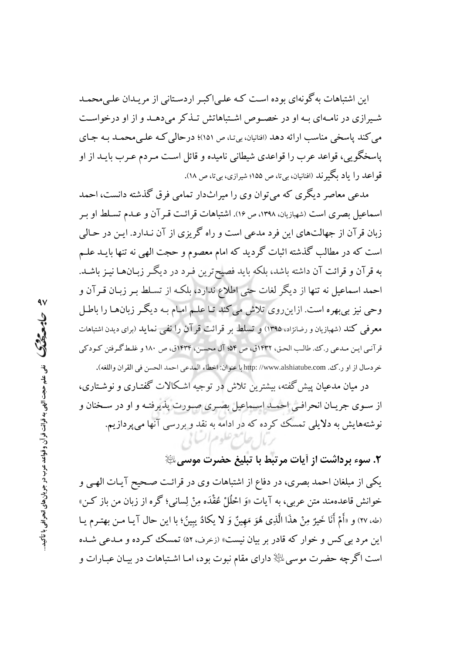این اشتباهات به گونهای بوده است کـه علـی|کبـر اردسـتانی از مریـدان علـیمحمـد شیرازی در نامهای به او در خصوص اشتباهاتش تـذکر می دهـد و از او درخواسـت مي كند ياسخي مناسب ارائه دهد (افنانيان، بي نـا، ص ١٥١)؛ درحالي كـه علـي محمـد بـه جـاي یاسخگو یے ،، قواعد عرب را قواعدی شیطانی نامیده و قائل است مـردم عـرب بایــد از او قو اعـد را ياد بگير نـد (افنانيان، بيتا، ص ۱۵۵؛ شيرازي، بيتا، ص ۱۸).

مدعی معاصر دیگری که میتوان وی را میراثدار تمامی فرق گذشته دانست، احمد اسماعیل بصری است (شهبازیان، ۱۳۹۸، ص ۱۶). اشتباهات قرائت قـر آن و عـدم تسـلط او بـر زبان قرآن از جهالتهای این فرد مدعی است و راه گریزی از آن نـدارد. ایـن در حـالی است که در مطالب گذشته اثبات گردید که امام معصوم و حجت الهی نه تنها بایــد علــم به قرآن و قرائت آن داشته باشد، بلکه باید فصیحترین فبرد در دیگر زبـانهـا نیـز باشـد. احمد اسماعیل نه تنها از دیگر لغات حتی اطلاع ندارد، بلکه از تسـلط بـر زبـان قـرآن و وحي نيز بي بهره است. ازاين روي تلاش مي كند تـا علـم امـام بـه ديگـر زبان١هـا را باطـل معرفی کند (شهبازیان و رضانژاد، ۱۳۹۵) و تسلط بر قرائت قر آن را نفی نماید (برای دیدن اشتباهات قرآنبي ايـن مـدعي ر.ك. طالـب الحـق، ١۴٣٢ق، ص ٥۴؛ آل محسـن، ١۴٣۴ق، ص ١٨٠ و غلـط گـرفتن كـودكي خردسال از او ر.ك. http: //www.alshiatube.com با عنوان: اخطاء المدعى احمد الحسن في القران واللغه).

در میان مدعیان پیش گفته، بیشترین تلاش در توجیه اشکالات گفتـاری و نوشـتاری، از سـوى جريـان انحرافـي احمـد اسـماعيل بصـرى صـورت پذيرفتـه و او در سـخنان و نوشتههایش به دلایلی تمسک کرده که در ادامه به نقد و بررسی آنها میپردازیم. ربال جاسع علوم السابي

# ٢. سوء برداشت از أيات مرتبط با تبليغ حضرت موسى ﷺ

یکی از مبلغان احمد بصری، در دفاع از اشتباهات وی در قرائت صـحیح آیـات الهـی و خوانش قاعدهمند متن عربي، به آيات «وَ احْلُلْ عُقْدَه مِنْ لِساني؛ گره از زبان من باز كـن» (طه، ٢٧) و «أَمْ أَنَا خَيرٌ مِنْ هذَا الَّذِي هُوَ مَهِينٌ وَ لا يكادُ يِبِينُ؛ با اين حال آيـا مـن بهتـرم يـا این مرد بی کس و خوار که قادر بر بیان نیست» (زخرف، ۵۲) تمسک ککرده و مـدعی شـده است اگرچه حضرت موسى ﷺ داراى مقام نبوت بود، امـا اشـتباهات در بيـان عبـارات و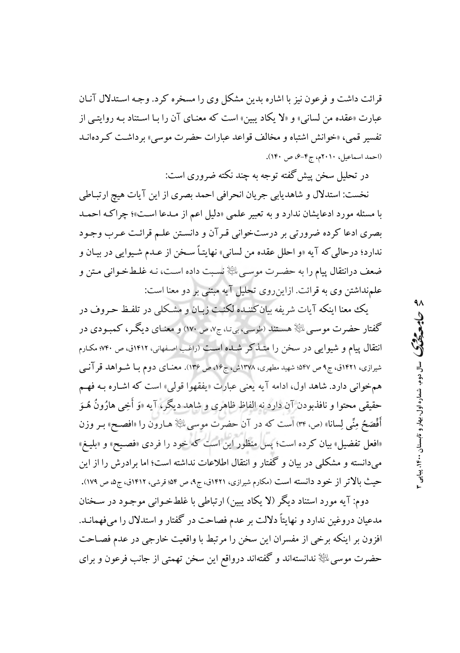قرائت داشت و فرعون نیز با اشاره بدین مشکل وی را مسخره کرد. وجـه اسـتدلال آنـان عبارت «عقده من لسانی» و «لا یکاد یبین» است که معنـای آن را بـا اسـتناد بـه روایتــ از تفسیر قمبی، «خوانش اشتباه و مخالف قواعد عبارات حضرت موسی» برداشت کردهانـد (احمد اسماعیل، ۲۰۱۰م، ج۴-۶، ص ۱۴۰).

در تحلیل سخن پیش گفته توجه به چند نکته ضروری است:

نخست: استدلال و شاهديابي جريان انحرافي احمد بصرى از اين آيات هيچ ارتباطي با مسئله مورد ادعایشان ندارد و به تعبیر علمی «دلیل اعم از مـدعا اسـت»؛ چراکـه احمـد بصری ادعا کرده ضرورتی بر درستخوانی قرآن و دانستن علـم قرائـت عـرب وجـود ندارد؛ درحالي كه آيه «و احلل عقده من لساني» نهايتـاً سـخن از عـدم شـيوايي در بيـان و ضعف درانتقال پیام را به حضـرت موسـي ﷺ نسـبت داده اسـت، نـه غلـطخـوانـي مـتن و علمنداشتن وی به قرائت. ازاین روی تحلیل آیه مبتنی بر دو معنا است:

يك معنا اينكه آيات شريفه بيان كننـده لكنـت زبـان و مشـكلي در تلفـظ حـروف در گفتار حضرت موسـی ﷺ هسـتند (طوسی، بیتـا، ج٧، ص ١٧٠) و معنـای دیگـر، کمبـودی در انتقال پیام و شیوایی در سخن را متـذکر شـده اسـت (راغب اصـفهانی، ۱۴۱۲ق، ص ۷۴۰؛ مکـارم شیرازی، ۱۴۲۱ق، ج۹ص ۵۴۷: شهید مطهری، ۱۳۷۸ش، ج۱۶، ص ۱۳۶). معنـای دوم بـا شـواهد قرآنـی همخوانی دارد. شاهد اول، ادامه آیه یعنی عبارت «یفقهوا قولی» است که اشـاره بـه فهـم حقیقی محتوا و نافذبودن آن دارد نه الفاظ ظاهری و شاهد دیگر، آیه «وَ أَخِی هارُونُ هُـوَ أَفْصَحُ مِنِّي لِسانا» (ص ٣٢) است كه در آن حضرت موسى اللَّهِ هـارون را «افصـح» بـر وزن «افعل تفضیل» بیان کرده است؛ پس منظور این است که خود را فردی «فصیح» و «بلیغ» میدانسته و مشکلی در بیان و گفتار و انتقال اطلاعات نداشته است؛ اما برادرش را از این حیث بالاتر از خود دانسته است (مکارم شیرازی، ۱۴۲۱ق، ج۹، ص ۵۴؛ قرشی، ۱۴۱۲ق، ج۵، ص ۱۷۹).

دوم: آيه مورد استناد ديگر (لا يكاد يبين) ارتباطي با غلطخواني موجـود در سـخنان مدعیان دروغین ندارد و نهایتاً دلالت بر عدم فصاحت در گفتار و استدلال را میفهمانــد. افزون بر اینکه برخی از مفسران این سخن را مرتبط با واقعیت خارجی در عدم فصـاحت حضرت موسی ﷺ ندانستهاند و گفتهاند درواقع این سخن تهمتی از جانب فرعون و برای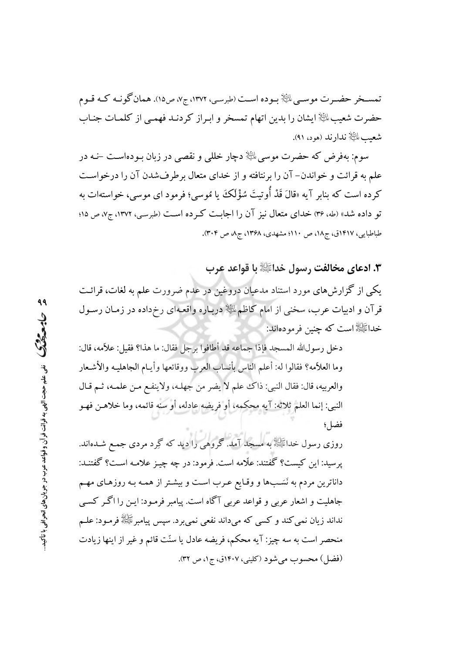تمسـخر حضـرت موسـيىلڭِلا بـوده اسـت (طبرسـي، ١٣٧٢، ج٧، ص١٥). همان گونـه كـه قـوم حضرت شعیب الله ایشان را بدین اتهام تمسخر و ابراز کردنـد فهمـی از کلمـات جنـاب شعبب اللَّيَّالِ ندار ند (هود، ۹۱).

سوم: بهفرض که حضرت موسى ﷺ دچار خللي و نقصى در زبان بـودهاسـت –نــه در علم به قرائت و خواندن- آن را برنتافته و از خدای متعال برطرفشدن آن را درخواست کرده است که بنابر آیه «قالَ قَدْ أُوتيتَ سُؤْلَکَ يا مُوسى؛ فرمود اى موسى، خواستهات به تو داده شد» (طه، ۳۶) خدای متعال نیز آن را اجابت کرده است (طبرسی، ۱۳۷۲، ج۷، ص ۱۵؛ طباطبایی، ۱۴۱۷ق، ج۱۸، ص ۱۱۰؛ مشهدی، ۱۳۶۸، ج۸، ص ۳۰۴).

٣. ادعاي مخالفت رسول خداﷺ با قواعد عرب

یکی از گزارشهای مورد استناد مدعیان دروغین در عدم ضرورت علم به لغات، قرائـت قرآن و ادبیات عرب، سخنی از امام کاظمﷺ دربـاره واقعـهای رخ٫داده در زمـان رسـول خداﷺ است که چنین فرمودهاند:

دخل رسولالله المسجد فإذا جماعه قد أطافوا برجل فقال: ما هذا؟ فقيل: علامه، قال: وما العلاّمه؟ فقالوا له: أعلم الناس بأنساب العرب ووقائعها وأيـام الجاهليـه والأشـعار والعربيه، قال: فقال النبي: ذاك علم لا يضر من جهلـه، ولاينفـع مـن علمـه، ثـم قـال النبي: إنما العلم ثلاثه: آيه محكمه، أو فريضه عادله، أو سنه قائمه، وما خلاهـن فهـو فضا ٍ؛

روزی رسول خدائیچهٔ به مسجد آمد. گروهی را دید که گِرد مردی جمع شــدهاند. يرسيد: اين كيست؟ گفتند: علَّامه است. فرمود: در چه چيـز علامـه اسـت؟ گفتنـد: داناترین مردم به نَسَبها و وقـایع عـرب اسـت و بیشـتر از همـه بـه روزهـای مهـم جاهلیت و اشعار عربی و قواعد عربی آگاه است. پیامبر فرمـود: ایـن را اگـر کسـی نداند زيان نمي کند و کسي که ميداند نفعي نمي برد. سيس پيامبرﷺ فرمـود: علــم منحصر است به سه چیز: آیه محکم، فریضه عادل یا سنّت قائم و غیر از اینها زیادت (فضل) محسوب می شود (کلینی، ۱۴۰۷ق، ج۱، ص ۳۲).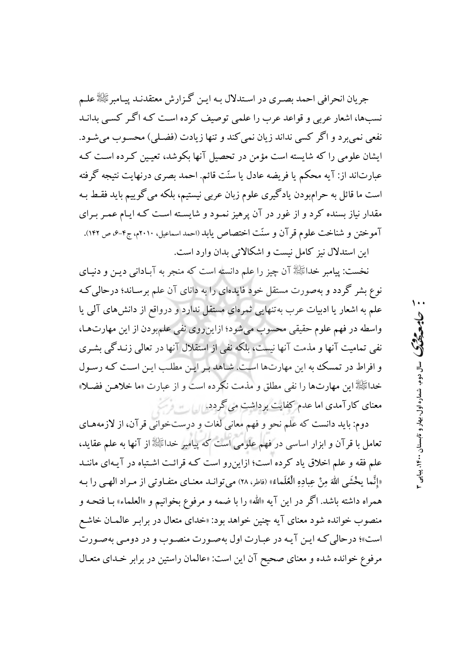جريان انحرافي احمد بصـري در اسـتدلال بـه ايـن گـزارش معتقدنـد پيـامبرﷺ علـم نسبها، اشعار عربی و قواعد عرب را علمی توصیف کرده است کـه اگـر کسـی بدانـد نفعي نمي برد و اگر كسي نداند زيان نمي كند و تنها زيادت (فضـلي) محسـوب مي شـود. ایشان علومی را که شایسته است مؤمن در تحصیل آنها بکوشد، تعیین کرده است ک عبارتاند از: آیه محکم یا فریضه عادل یا سنّت قائم. احمد بصری درنهایت نتیجه گرفته است ما قائل به حرامبودن یادگیری علوم زبان عربی نیستیم، بلکه می گوییم باید فقط بـه مقدار نیاز بسنده کرد و از غور در آن پرهیز نمـود و شایسـته اسـت کـه ایـام عمـر بـرای آموختن و شناخت علوم قرآن و سنّت اختصاص یابد (احمد اسماعیل، ۲۰۱۰م، ج۴-۶، ص ۱۴۲). این استدلال نیز کامل نیست و اشکالاتی بدان وارد است.

نخست: پیامبر خداﷺ آن چیز را علم دانسته است که منجر به آبـادانی دیـن و دنیـای نوع بشر گردد و بهصورت مستقل خود فایدهای را به دانای آن علم برسـاند؛ درحالی کـه علم به اشعار یا ادبیات عرب به تنهایی ثمرهای مستقل ندارد و درواقع از دانش های آلمی یا واسطه در فهم علوم حقیقی محسوب میشود؛ ازاین روی نفی علمبودن از این مهارتها، نفی تمامیت آنها و مذمت آنها نیست، بلکه نفی از استقلال آنها در تعالی زنـدگی بشـری و افراط در تمسک به این مهارتها است. شاهد بر این مطلب این است کـه رسـول خداﷺ این مهارتها را نفی مطلق و مذمت نکرده است و از عبارت «ما خلاهـن فضـلا» معنای کارآمدی اما عدم کفایت برداشت می گردد.

دوم: بايد دانست كه علم نحو و فهم معاني لغات و درستخواني قرآن، از لازمههاي تعامل با قرآن و ابزار اساسی در فهم علومی است که پیامبر خداﷺ از آنها به علم عقاید، علم فقه و علم اخلاق یاد کرده است؛ ازاین رو است کـه قرائـت اشـتباه در آیـهای ماننـد «إنَّما يخْشَى اللهَ مِنْ عِبادِهِ الْعُلَماءُ» (فاطر، ٢٨) مي توانـد معنـاي متفـاوتي از مـراد الهـي را بـه همراه داشته باشد. اگر در این آیه «الله» را با ضمه و مرفوع بخوانیم و «العلماء» بـا فتحـه و منصوب خوانده شود معنای آیه چنین خواهد بود: «خدای متعال در برابر عالمیان خاشع است»؛ درحالي كـه ايـن آيـه در عبـارت اول بهصـورت منصـوب و در دومـي بهصـورت مرفوع خوانده شده و معناي صحيح آن اين است: «عالمان راستين در برابر خـداي متعـال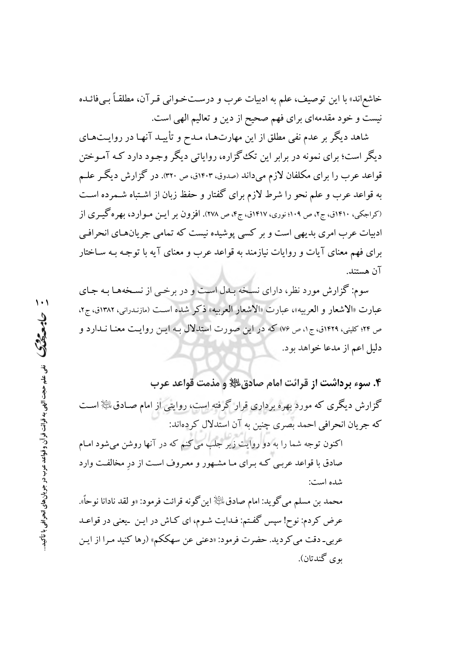خاشع|ند» با این توصیف، علم به ادبیات عرب و درسـتخـوانی قـر آن، مطلقـاً بــ فائــده نیست و خود مقدمهای برای فهم صحیح از دین و تعالیم الهی است.

شاهد دیگر بر عدم نفی مطلق از این مهارتهـا، مـدح و تأییـد آنهـا در روایـتهـای دیگر است؛ برای نمونه در برابر این تک گزاره، روایاتی دیگر وجـود دارد کـه آمـوختن قواعد عرب را برای مکلفان لازم میداند (صدوق، ۱۴۰۳ق، ص ۳۲۰). در گزارش دیگر علـم به قواعد عرب و علم نحو را شرط لازم برای گفتار و حفظ زبان از اشـتباه شـمرده اسـت (کراجکی، ۱۴۱۰ق، ج۲، ص ۱۰۹؛ نوری، ۱۴۱۷ق، ج۴، ص ۲۷۸). افزون بر ایـن مـوارد، بهره گیـری از ادبیات عرب امری بدیهی است و بر کسی پوشیده نیست که تمامی جریانهای انحرافی برای فهم معنای آیات و روایات نیازمند به قواعد عرب و معنای آیه با توجـه بـه سـاختار آن هستند.

سوم: گزارش مورد نظر، دارای نسخه بـدل اسـت و در برخـی از نسـخههـا بـه جـای عبارت «الاشعار و العربيه»، عبارت «الاشعار العربيه» ذكر شده است (مازندراني، ١٣٨٢ق، ج٢، ص ٢۴؛ کلینی، ١٤٢٩ق، ج١، ص ٧۶) که در این صورت استدلال بـه ایـن روایـت معنـا نـدارد و دليل اعم از مدعا خواهد بود.

۴. سوء برداشت از قرائت امام صادق ﷺ و مذمت قواعد عرب گزارش دیگری که مورد بهره برداری قرار گرفته است، روایتی از امام صـادق اللهٔ اسـت كه جريان انحرافي احمد بصرى چنين به آن استدلال كردهاند:

اکنون توجه شما را به دو روایت زیر جلب می کنم که در آنها روشن میشود امـام صادق با قواعد عربـي كـه بـراي مـا مشـهور و معـروف اسـت از در مخالفـت وارد شده است:

محمد بن مسلم مي گويد: امام صادق ﷺ اين گونه قرائت فرمود: «و لقد نادانا نوحاً». عرض کردم: نوح! سیس گفتم: فـدایت شـوم، ای کـاش در ایـن بـیعنی در قواعـد عربی۔ دقت می کر دید. حضرت فرمود: «دعنی عن سهککم» (رها کنید مـرا از ایـن پوې گندتان).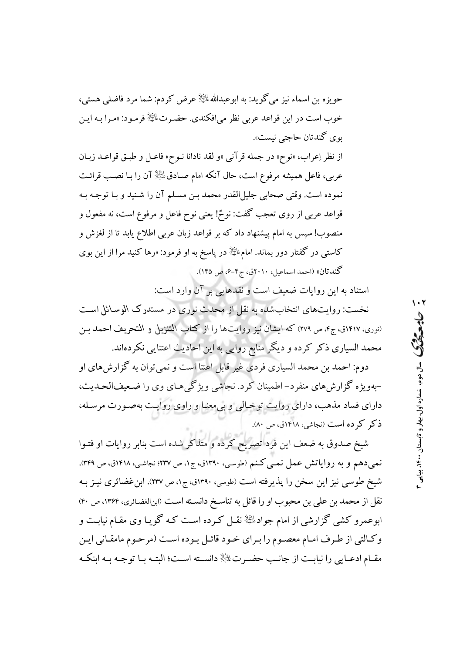حویزه بن اسماء نیز می گوید: به ابوعبدالله الخَالِ عرض کردم: شما مرد فاضلی هستی، خوب است در این قواعد عربی نظر می|فکندی. حضـرتﷺ فرمـود: «مـرا بـه ایـن بوي گندتان حاجتي نيست».

از نظر إعراب، «نوح» در جمله قرآني «و لقد نادانا نـوح» فاعـل و طبـق قواعـد زبـان عربي، فاعل هميشه مرفوع است، حال آنكه امام صـادق $\mathbb{P}^{\mathbb{P}}$ آن را بـا نصـب قرائـت نموده است. وقتي صحابي جليلالقدر محمد بـن مسـلم آن را شـنيد و بـا توجـه بـه قواعد عربي از روي تعجب گفت: نوحٌ! يعني نوح فاعل و مرفوع است، نه مفعول و منصوب! سپس به امام پیشنهاد داد که بر قواعد زبان عربی اطلاع یابد تا از لغزش و کاستی در گفتار دور بماند. امامﷺ در پاسخ به او فرمود: «رها کنید مرا از این بوی گندتان» (احمد اسماعیل، ۲۰۱۰ق، ج۴-۶، ص ۱۴۵).

استناد به این روایات ضعیف است و نقدهایی بر آن وارد است:

نخست: روایتهای انتخاب شده به نقل از محدث نوری در مستدرک الوسائل است (نوری، ۱۴۱۷ق، ج۴، ص ۲۷۹) که ایشان نیز روایتها را از کتاب التنزیل و التحریف احمد بـن محمد السیاری ذکر کرده و دیگر منابع روایی به این احادیث اعتنایی نکردهاند.

دوم: احمد بن محمد السياري فردي غير قابل اعتنا است و نمي توان به گزارش هاي او -بهویژه گزارشهای منفرد-اطمینان کرد. نجاشی ویژگیهای وی را ضعیفالحـدیث، دارای فساد مذهب، دارای روایت توخالی و بی معنا و راوی روایت بهصورت مرسله، ذکر کرده است (نجاشی، ۱۴۱۸ق، ص ۸۰).

شیخ صدوق به ضعف این فرد تصریح کرده و متذکر شده است بنابر روایات او فتـوا نمبي،دهم و به رواياتش عمل نمبي كـنم (طوسي، ١٣٩٠ق، ج١، ص ٢٣٧؛ نجاشـي، ١۴١٨ق، ص ٣٢٩). شیخ طوسی نیز این سخن را پذیرفته است (طوسی، ۱۳۹۰ق، ج۱، ص ۲۳۷). ابن غضائری نیـز بـه نقل از محمد بن علي بن محبوب او را قائل به تناسـخ دانسـته اسـت (ابنالغضـائري، ۱۳۶۴، ص ۴۰) ابوعمرو کشی گزارشی از امام جوادﷺ نقـل کـرده اسـت کـه گویـا وی مقـام نیابـت و وكـالتي از طـرف امـام معصـوم را بـراي خـود قائـل بـوده اسـت (مرحـوم مامقـاني ايـن مقبام ادعبايي را نيابيت از جانب حضيرت ﷺ دانسته است؛ البتيه بيا توجيه بيه ابنكيه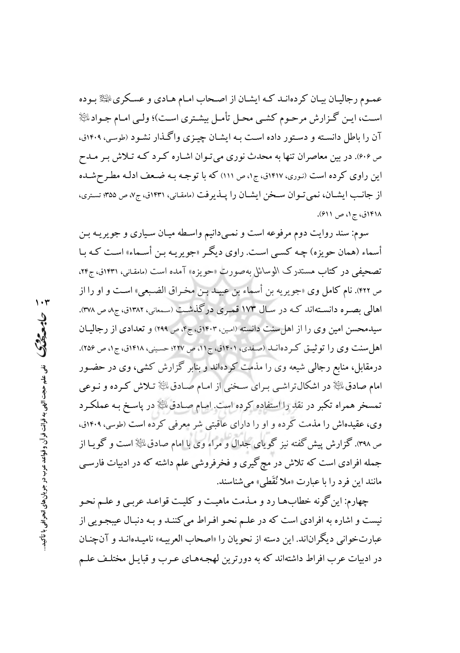عمـوم رجاليـان بيـان كردهانـد كـه ايشـان از اصـحاب امـام هـادي و عسـكري الخِلْهُ بـوده است، ایـن گـزارش مرحـوم کشـی محـل تأمـل بیشـتری اسـت)؛ ولـی امـام جـوادﷺ آن را باطل دانسته و دستور داده است بـه ایشـان چیـزی واگـذار نشـود (طوسی، ۱۴۰۹ق، ص ۴۰۶). در بین معاصران تنها به محدث نوری می تـوان اشـاره کـرد کـه تـلاش بـر مـدح این راوی کرده است (نوری، ۱۴۱۷ق، ج۱، ص ۱۱۱) که با توجه بـه ضـعف ادلـه مطـرحشـده از جانب ایشان، نمی توان سخن ایشان را پلدیرفت (مامقانی، ۱۴۳۱ق، ج۷، ص ۳۵۵؛ تستری، ۱۴۱۸ق، ج۱، ص ۶۱۱).

سوم: سند روایت دوم مرفوعه است و نمـیدانیم واسـطه میـان سـیاری و جویریـه بـن أسماء (همان حويزه) چـه كسـي اسـت. راوي ديگـر «جويريـه بـن أسـماء» اسـت كـه بـا تصحیفی در کتاب مستدرک الوسائل بهصورت «حویزه» آمده است (مامقانی، ۱۴۳۱ق، ج۲۴، ص ۴۲۲). نام كامل وى «جويريه بن أسماء بن عبيـد بـن مخـراق الضـبعى» اسـت و او را از اهالی بصـره دانسـتهاند کـه در سـال ۱۷۳ قمـري درگذشـت (سـمعاني، ۱۳۸۲ق، ج۵ ص ۳۷۸). سیدمحسن امین وی را از اهل سنت دانسته (امین، ۱۴۰۳ق، ج۴، ص ۲۹۹) و تعدادی از رجالیان اهل سنت وي را توثيـق كـردهانـد (صفدي، ١٤٠١ق، ج١١، ص ٢٢٧؛ حسـيني، ١٤١٨ق، ج١، ص ٢٥۶). درمقابل، منابع رجالی شیعه وی را مذمت کردهاند و بنابر گزارش کشی، وی در حضـور امام صادق لملئی در اشکال تراشـی بـرای سـخنی از امـام صـادق لملئی تـلاش کـرده و نـوعی تمسخر همراه تکبر در نقد را استفاده کرده است. امـام صـادقی، علیه در پاسـخ بـه عملکـرد وی، عقیدهاش را مذمت کرده و او را دارای عاقبتی شر معرفی کرده است (طوسی، ۱۴۰۹ق، ص ۳۹۸). گزارش پیش گفته نیز گویای جدال و مراء وی با امام صادق، ﷺ است و گویـا از جمله افرادی است که تلاش در مچ گیری و فخرفروشی علم داشته که در ادبیات فارسـی مانند این فرد را با عبارت «ملا نُقَطى» مى شناسند.

چهارم: این گونه خطابهـا رد و مـذمت ماهیـت و کلیـت قواعـد عربـي و علـم نحـو نیست و اشاره به افرادی است که در علـم نحـو افـراط می کننـد و بـه دنبـال عیبجـویی از عبارتخواني ديگراناند. اين دسته از نحويان را «اصحاب العربيـه» ناميـدهانـد و آنچنـان در ادبیات عرب افراط داشتهاند که به دورترین لهجـههـای عـرب و قبایـل مختلـف علـم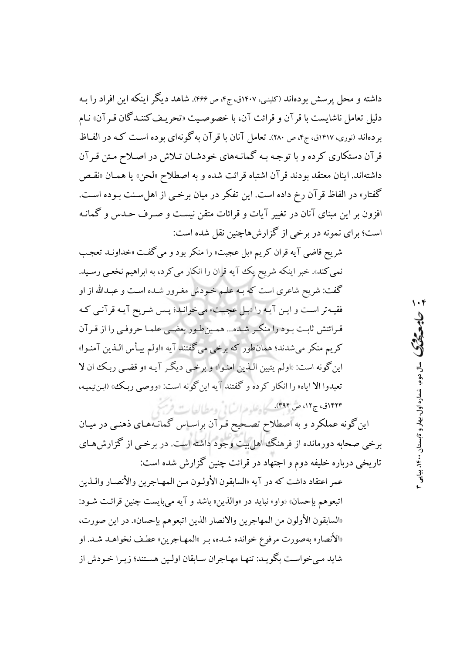داشته و محل پر سش بودهاند (کلینی، ۱۴۰۷ق، ج۴، ص ۴۶۶). شاهد دیگر اینکه این افراد را بـه دليل تعامل ناشايست با قر آن و قرائت آن، با خصوصيت «تحريـف كننـدگان قـر آن» نـام بر دهاند (نوری، ۱۴۱۷ق، ج۴، ص ۲۸۰). تعامل آنان با قر آن به گونهای بوده است کـه در الفـاظ قر آن دستکاری کرده و با توجه بـه گمانـههای خودشـان تـلاش در اصـلاح مـتن قـرآن داشتهاند. اينان معتقد بودند قرآن اشتباه قرائت شده و به اصطلاح «لحن» يا همـان «نقـص گفتار» در الفاظ قر آن رخ داده است. این تفکر در میان برخبی از اهل سـنت بـوده اسـت. افزون بر این مبنای آنان در تغییر آیات و قرائات متقن نیست و صـرف حـدس و گمانـه است؛ برای نمونه در برخی از گزارشهاچنین نقل شده است:

شريح قاضي آيه قران كريم «بل عجبت» را منكر بود و مي گفت «خداونـد تعجـب نمي كند». خبر اينكه شريح يك آيه قران را انكار مي كرد، به ابراهيم نخعي رسيد. گفت: شریح شاعری است که بـه علـم خـودش مغـرور شـده اسـت و عبـدالله از او فقيه تر است و اين آيه را «بيل عجبت» مي خوانيد؛ پس شريح آيـه قرآنـي كـه قرائتش ثابت ببود را منكبر شده... همین طبور بعضبي علمـا حروفـي را از قبر آن کریم منکر می شدند؛ همانطور که برخی می گفتند آیه «اولم پیأس الـذین آمنـوا» اين گونه است: «اولم يتبين الـذين امنـوا» و برخـي ديگـر آيـه «و قضـي ربـك ان لا .<br>تعبدوا الا اياه» را انكار كرده و گفتند آيه اين گونه است: «ووصى ربك» (ابن تيميه، ۱۲۲۴ق، ج۱۲، ص ۴۹۲). <u>کیل علید عراب لاز و مطالعات فر</u>ست

این گونه عملکرد و به اصطلاح تصحیح قـرآن براسـاس گمانـههـای ذهنـی در میـان برخی صحابه دورمانده از فرهنگ اهل بیت وجود داشته است. در برخـی از گزارشهـای تاریخی درباره خلیفه دوم و اجتهاد در قرائت چنین گزارش شده است:

عمر اعتقاد داشت كه در آيه «السابقون الأولـون مـن المهـاجرين والأنصـار والـذين اتبعوهم بإحسان» «واو» نبايد در «والذين» باشد و آيه مي بايست چنين قرائت شـود: «السابقون الأولون من المهاجرين والانصار الذين اتبعوهم بإحسان». در اين صورت، «الأنصار» بهصورت مرفوع خوانده شده، بـر «المهـاجرين» عطـف نخواهـد شـد. او شاید می خواست بگویـد: تنهـا مهـاجران سـابقان اولـین هسـتند؛ زیـرا خـودش از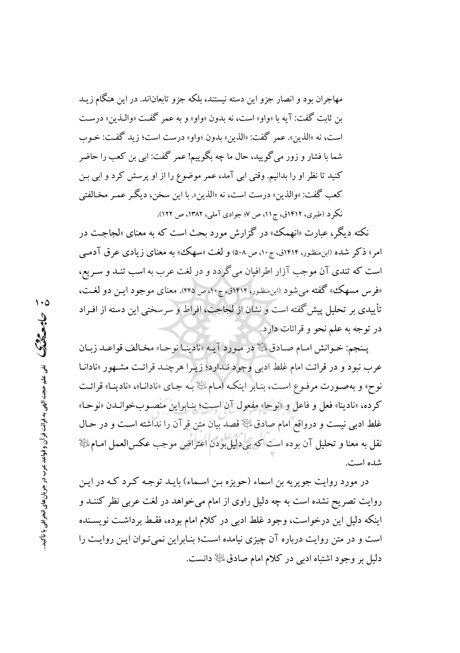مهاجران بود و انصار جزو این دسته نیستند، بلکه جزو تابعاناند. در این هنگام زیـد بن ثابت گفت: آيه با «واو» است، نه بدون «واو» و به عمر گفت «والـذين» درسـت است، نه «الذين». عمر گفت: «الذين» بدون «واو» درست است؛ زيد گفت: خـوب شما یا فشار و زور می گویید، حال ما چه یگوییم! عمر گفت: ابی بن کعب را حاضر کنید تا نظر او را بدانیم. وقتی ابی آمد، عمر موضوع را از او پرسش کرد و ابی بن كعب گفت: «والذين» درست است، نه «الذين». با اين سخن، ديگر عمـر مخـالفتي نکر د (طبري، ١۴١٢ق، ج١١، ص ٧؛ جوادي آملي، ١٣٨٢، ص ١٢١٢).

نکته دیگر، عبارت «انهمک» در گزارش مورد بحث است که به معنای «لجاجت در امر» ذکر شده (ابن منظور، ۱۴۱۴ق، ج۱۰، ص ۵۰۸) و لغت «سهک» به معنای زیادی عرق آدمـی است که تندی آن موجب آزار اطرافیان میگرادد و در لغت عرب به اسب تنـد و سـریع، «فرس مسهك» گفته مي شود (ابن منظور، ۱۴۱۴ق، ج۱۰، ص ۴۴۵). معناي موجود ايـن دو لغـت، تأییدی بر تحلیل پیش گفته است و نشان از لجاجت، افراط و سرسختی این دسته از افـراد در توجه به علم نحو و قرائات دارد.

يـنجم: خـوانش امـام صـادق، ﷺ در مـورد آيـه «نادينـا نوحـا» مخـالف قواعـد زبـان عرب نبود و در قرائت امام غلط ادبی وجود نـدارد؛ زیـرا هرچنـد قرائـت مشـهور «نادانـا نوح» و بهصـورت مرفـوع اسـت، بنـابر اينكـه امـامﷺ بـه جـاي «نادانـا»، «نادينـا» قرائـت كرده، «نادينا» فعل و فاعل و «نوحا» مفعول آن است؛ بنـابراين منصـوبخوانـدن «نوحـا» غلط ادبی نیست و درواقع امام صادق $\mathbb{R}$  قصد بیان متن قر آن را نداشته است و در حـال نقل به معنا و تحلیل آن بوده است که بیدلیل بودن اعتراض موجب عکسالعمل امـاماﷺ شده است.

در مورد روایت جویریه بن اسماء (حویزه بـن اسـماء) بایـد توجـه کـرد کـه در ایـن روایت تصریح نشده است به چه دلیل راوی از امام میخواهد در لغت عربی نظر کننـد و اینکه دلیل این درخواست، وجود غلط ادبی در کلام امام بوده، فقـط برداشـت نویسـنده است و در متن روایت درباره آن چیزی نیامده است؛ بنـابراین نمی تـوان ایـن روایـت را دلیل بر وجود اشتباه ادبی در کلام امام صادق ﷺ دانست.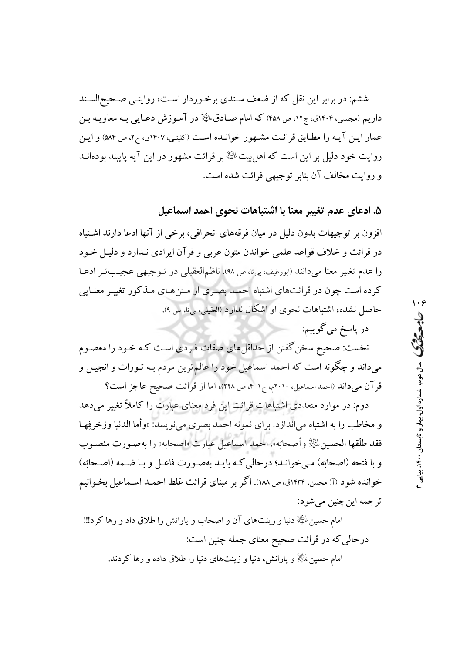ششم: در برابر این نقل که از ضعف سـندی برخـوردار اسـت، روایتـی صـحیحالسـند داریم (مجلسی، ۱۴۰۴ق، ج۱۲، ص ۴۵۸) که امام صـادق ﷺ در آمـوزش دعـایی بـه معاویـه بـن عمار ایـن آیـه را مطـابق قرائـت مشـهور خوانـده اسـت (کلینـی، ۱۴۰۷ق، ج۲، ص ۵۸۴) و ایـن روایت خود دلیل بر این است که اهل بیت ﷺ بر قرائت مشهور در این آیه پایبند بودهانــد و روايت مخالف آن بنابر توجيهي قرائت شده است.

۵. ادعای عدم تغییر معنا با اشتباهات نحوی احمد اسماعیل

افزون بر توجیهات بدون دلیل در میان فرقههای انحرافی، برخی از آنها ادعا دارند اشتباه در قرائت و خلاف قواعد علمی خواندن متون عربی و قرآن ایرادی نـدارد و دلیـل خـود را عدم تغییر معنا میدانند «بورغیف، بی¤، ص ۹۸). ناظمالعقیلی در تـوجیهی عجیـبتـر ادعـا کرده است چون در قرائتهای اشتباه احمـد بصـری از مـتنهـای مـذکور تغییـر معنـایی حاصل نشده، اشتباهات نحوی او اشکال ندارد (العقیلی، بیتا، ص ۹).

در پاسخ ميگوييم:

نخست: صحیح سخن گفتن از حداقل های صفات فـردی اسـت کـه خـود را معصـوم میداند و چگونه است که احمد اسماعیل خود را عالم ترین مردم بـه تـورات و انجیـل و قرآن مى داند (احمد اسماعيل، ٢٠١٠م، ج١-۴، ص ٢٢٨)، اما از قرائت صحيح عاجز است؟

دوم: در موارد متعددی اشتباهات قرائت این فرد معنای عبارت را کاملاً تغییر میدهد و مخاطب را به اشتباه میاندازد. برای نمونه احمد بصری مینویسد: «وأما الدنیا وزخرفِهـا فقد طلَّقها الحسين ﷺ وأصحابَه». احمد اسماعيل عبارت «اصحابه» را بهصـورت منصـوب و با فتحه (اصحابَه) مبي خوانـد؛ درحالي كـه بايـد بهصـورت فاعـل و بـا ضـمه (اصـحابُه) خوانده شود (آل،حسن، ۱۴۳۴ق، ص ۱۸۸). اگر بر مبنای قرائت غلط احمـد اسـماعیل بخـوانیم تر جمه اين چنين مي شو د:

امام حسین لمائِیا﴿ دنیا و زینتهای آن و اصحاب و یارانش را طلاق داد و رها کرد!!! درحالی که در قرائت صحیح معنای جمله چنین است: امام حسین ﷺ و یارانش، دنیا و زینتهای دنیا را طلاق داده و رها کردند.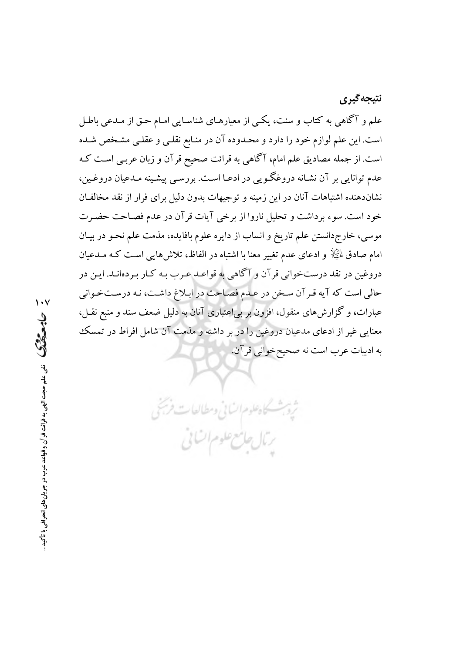علم و آگاهی به کتاب و سنت، یکبی از معیارهـای شناسـایی امـام حـق از مـدعبی باطـل است. این علم لوازم خود را دارد و محـدوده آن در منـابع نقلـی و عقلـی مشـخص شـده است. از جمله مصادیق علم امام، آگاهی به قرائت صحیح قرآن و زبان عربـی اسـت کـه عدم توانایی بر آن نشـانه دروغگـویی در ادعـا اسـت. بررسـی پیشـینه مـدعیان دروغـین، نشاندهنده اشتباهات آنان در این زمینه و توجیهات بدون دلیل برای فرار از نقد مخالفان خود است. سوء بر داشت و تحلیل ناروا از برخی آیات قر آن در عدم فصـاحت حضـرت موسی، خارجدانستن علم تاریخ و انساب از دایره علوم بافایده، مذمت علم نحـو در بیـان امام صادق لِمَلِيًّلْإ و ادعاى عدم تغيير معنا با اشتباه در الفاظ، تلاش۵هايي اسـت كـه مـدعيان دروغین در نقد درستخوانی قرآن و آگاهی به قواعـد عـرب بـه کـار بـردهانـد. ایـن در حالي است كه آيه قرآن سخن در علم فصاحت در ابلاغ داشت، نـه درسـتخـواني عبارات، و گزارشهای منقول، افزون بر بی|عتباری آنان به دلیل ضعف سند و منبع نقـل، معنایی غیر از ادعای مدعیان دروغین را در بر داشته و مذمت آن شامل افراط در تمسک به ادبیات عرب است نه صحیحخوانی قرآن.

ثرو بشسكاه علوم السابي ومطالعات فريجي

رمال جامع علوم اتنائى

نتيجه گيري

 $\cdot$   $\cdot$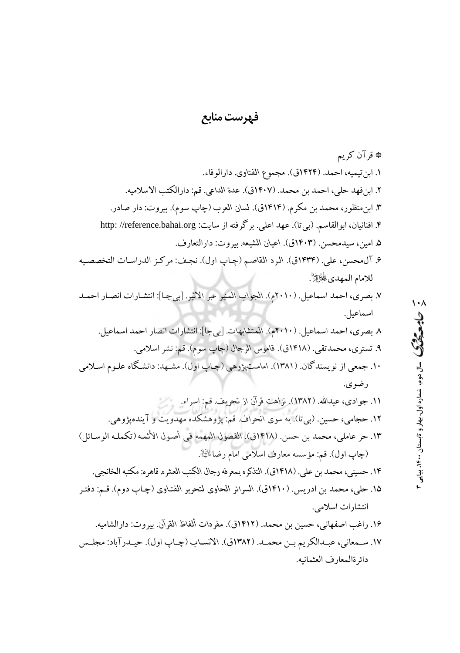فهرست منابع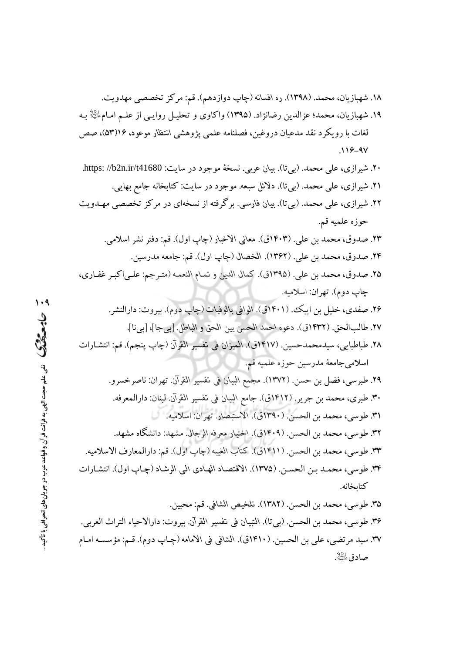- ۲۲. شیرازی، علی محمد. (بیتا). بیان فارسی. برگرفته از نسخهای در مرکز تخصصی مهـدویت حوزه علميه قم. ٢٣. صدوق، محمد بن علي. (١٤٠٣ق). معاني الاخبار (چاپ اول). قم: دفتر نشر اسلامي.
	- ٢۴. صدوق، محمد بن علي. (١٣۶٢). الخصال (چاپ اول). قم: جامعه مدرسين.
- ٢۵. صدوق، محمد بن علي. (١٣٩٥ق). كمال الدين و تمـام النعمـه (متـرجم: علـىاكبـر غفـاري، چاپ دوم). تهران: اسلاميه.
	- ۲۶. صفدي، خليل بن ايبک. (۱۴۰۱ق). الوافي بالوفيات (چاپ دوم). بيروت: دارالنشر. ٢٧. طالبالحق. (١٤٣٢ق). دعوه احمد الحسن بين الحق و الباطل. [بيجا]، [بيi].
- ٢٨. طباطبايي، سيدمحمدحسين. (١٤١٧ق). الميزان في تفسير القرآن (چاپ پنجم). قم: انتشـارات اسلامي جامعهٔ مدرسين حوزه علميه قم.
- ٢٩. طبرسي، فضل بن حسن. (١٣٧٢). مجمع البيان في تفسير القرآن. تهران: ناصرخسرو. ٣٠. طبري، محمد بن جرير. (١٤١٢ق). جامع البيان في تفسير القرآن. لبنان: دارالمعرفه. ٣١. طوسى، محمد بن الحسن. (١٣٩٠ق). الاستبصار. تهران: اسلامبه. ٣٢. طوسي، محمد بن الحسن. (١٤٠٩ق). اختيار معرفه الرجال. مشهد: دانشگاه مشهد. ٣٣. طوسي، محمد بن الحسن. (١٤١١ق). كتاب الغيبه (چاپ اول). قم: دارالمعارف الاسلاميه. ٣٣. طوسى، محمـد بـن الحسـن. (١٣٧٥). الاقتصـاد الهـادي اليي الرشـاد (چـاپ اول). انتشـارات كتاىخانە.
- ٣۵. طوسي، محمد بن الحسن. (١٣٨٢). تلخيص الشافي. قم: محبين. ٣۶. طوسي، محمد بن الحسن. (بي تا). النبيان في تفسير القرآن. بيروت: دارالاحياء التراث العربي. ٣٧. سيد مرتضى، على بن الحسين. (١۴١٠ق). الشافي في الامامه (چـاپ دوم). قـم: مؤسسـه امـام صادق پلٽايش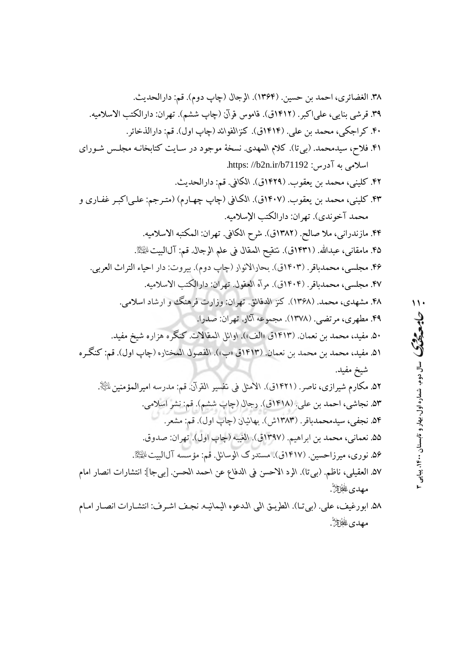۵۸. ابورغيف، علي. (بي تـا). الطريـق الـي الـدعوه اليمانيـه. نجـف اشـرف: انتشـارات انصـار امـام **مهدى ﷺ**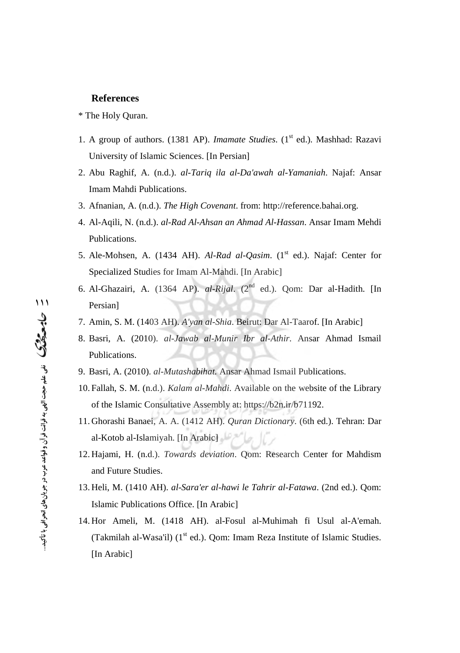#### **References**

#### \* The Holy Quran.

- 1. A group of authors. (1381 AP). *Imamate Studies*. (1st ed.). Mashhad: Razavi University of Islamic Sciences. [In Persian]
- 2. Abu Raghif, A. (n.d.). *al-Tariq ila al-Da'awah al-Yamaniah*. Najaf: Ansar Imam Mahdi Publications.
- 3. Afnanian, A. (n.d.). *The High Covenant*. from: <http://reference.bahai.org.>
- 4. Al-Aqili, N. (n.d.). *al-Rad Al-Ahsan an Ahmad Al-Hassan*. Ansar Imam Mehdi Publications.
- 5. Ale-Mohsen, A. (1434 AH). *Al-Rad al-Qasim*. (1<sup>st</sup> ed.). Najaf: Center for Specialized Studies for Imam Al-Mahdi. [In Arabic]
- 6. Al-Ghazairi, A. (1364 AP). *al-Rijal*. (2nd ed.). Qom: Dar al-Hadith. [In Persian]
- 7. Amin, S. M. (1403 AH). *A'yan al-Shia*. Beirut: Dar Al-Taarof. [In Arabic]
- 8. Basri, A. (2010). *al-Jawab al-Munir Ibr al-Athir*. Ansar Ahmad Ismail Publications.
- 9. Basri, A. (2010). *al-Mutashabihat.* Ansar Ahmad Ismail Publications.
- 10. Fallah, S. M. (n.d.). *Kalam al-Mahdi*. Available on the website of the Library of the Islamic Consultative Assembly at:<https://b2n.ir/b71192.>
- 11. Ghorashi Banaei, A. A. (1412 AH). *Quran Dictionary*. (6th ed.). Tehran: Dar al-Kotob al-Islamiyah. [In Arabic]
- 12. Hajami, H. (n.d.). *Towards deviation*. Qom: Research Center for Mahdism and Future Studies.
- 13. Heli, M. (1410 AH). *al-Sara'er al-hawi le Tahrir al-Fatawa*. (2nd ed.). Qom: Islamic Publications Office. [In Arabic]
- 14. Hor Ameli, M. (1418 AH). al-Fosul al-Muhimah fi Usul al-A'emah. (Takmilah al-Wasa'il)  $(1<sup>st</sup> ed.)$ . Qom: Imam Reza Institute of Islamic Studies. [In Arabic]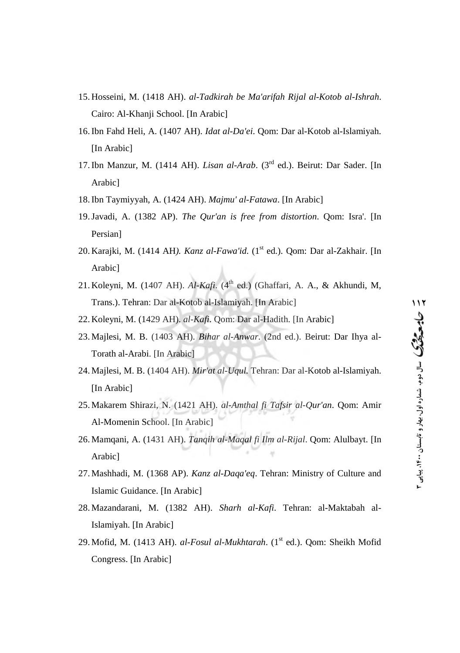- 15. Hosseini, M. (1418 AH). *al-Tadkirah be Ma'arifah Rijal al-Kotob al-Ishrah*. Cairo: Al-Khanji School. [In Arabic]
- 16.Ibn Fahd Heli, A. (1407 AH). *Idat al-Da'ei*. Qom: Dar al-Kotob al-Islamiyah. [In Arabic]
- 17.Ibn Manzur, M. (1414 AH). *Lisan al-Arab*. (3rd ed.). Beirut: Dar Sader. [In Arabic]
- 18.Ibn Taymiyyah, A. (1424 AH). *Majmu' al-Fatawa*. [In Arabic]
- 19.Javadi, A. (1382 AP). *The Qur'an is free from distortion*. Qom: Isra'. [In Persian]
- 20. Karajki, M. (1414 AH). Kanz al-Fawa'id. (1<sup>st</sup> ed.). Qom: Dar al-Zakhair. [In Arabic]
- 21. Koleyni, M. (1407 AH). *Al-Kafi*. (4<sup>th</sup> ed.) (Ghaffari, A. A., & Akhundi, M, Trans.). Tehran: Dar al-Kotob al-Islamiyah. [In Arabic]
- 22. Koleyni, M. (1429 AH). *al-Kafi*. Qom: Dar al-Hadith. [In Arabic]
- 23. Majlesi, M. B. (1403 AH). *Bihar al-Anwar*. (2nd ed.). Beirut: Dar Ihya al-Torath al-Arabi. [In Arabic]
- 24. Majlesi, M. B. (1404 AH). *Mir'at al-Uqul.* Tehran: Dar al-Kotob al-Islamiyah. [In Arabic]
- 25. Makarem Shirazi, N. (1421 AH). *al-Amthal fi Tafsir al-Qur'an*. Qom: Amir Al-Momenin School. [In Arabic]
- 26. Mamqani, A. (1431 AH). *Tanqih al-Maqal fi Ilm al-Rijal*. Qom: Alulbayt. [In Arabic]
- 27. Mashhadi, M. (1368 AP). *Kanz al-Daqa'eq*. Tehran: Ministry of Culture and Islamic Guidance. [In Arabic]
- 28. Mazandarani, M. (1382 AH). *Sharh al-Kafi*. Tehran: al-Maktabah al-Islamiyah. [In Arabic]
- 29. Mofid, M. (1413 AH). *al-Fosul al-Mukhtarah*. (1<sup>st</sup> ed.). Qom: Sheikh Mofid Congress. [In Arabic]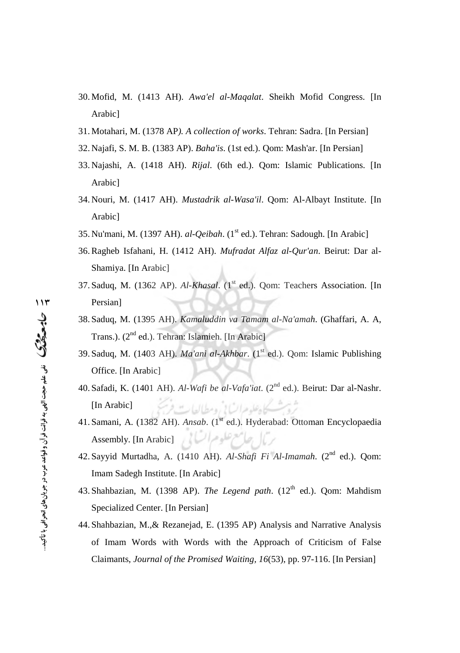- 30. Mofid, M. (1413 AH). *Awa'el al-Maqalat*. Sheikh Mofid Congress. [In Arabic]
- 31. Motahari, M. (1378 AP*). A collection of works*. Tehran: Sadra. [In Persian]
- 32. Najafi, S. M. B. (1383 AP). *Baha'is*. (1st ed.). Qom: Mash'ar. [In Persian]
- 33. Najashi, A. (1418 AH). *Rijal*. (6th ed.). Qom: Islamic Publications. [In Arabic]
- 34. Nouri, M. (1417 AH). *Mustadrik al-Wasa'il*. Qom: Al-Albayt Institute. [In Arabic]
- 35. Nu'mani, M. (1397 AH). *al-Qeibah*. (1<sup>st</sup> ed.). Tehran: Sadough. [In Arabic]
- 36.Ragheb Isfahani, H. (1412 AH). *Mufradat Alfaz al-Qur'an*. Beirut: Dar al-Shamiya. [In Arabic]
- 37. Saduq, M. (1362 AP). *Al-Khasal*. (1<sup>st</sup> ed.). Qom: Teachers Association. [In Persian]
- 38. Saduq, M. (1395 AH). *Kamaluddin va Tamam al-Na'amah*. (Ghaffari, A. A, Trans.). (2<sup>nd</sup> ed.). Tehran: Islamieh. [In Arabic]
- 39. Saduq, M. (1403 AH). *Ma'ani al-Akhbar*. (1<sup>st</sup> ed.). Qom: Islamic Publishing Office. [In Arabic]
- 40. Safadi, K. (1401 AH). *Al-Wafi be al-Vafa'iat*. (2nd ed.). Beirut: Dar al-Nashr. شوث كاه علوم السابي ومطالعات فرش [In Arabic]
- 41. Samani, A. (1382 AH). *Ansab.* (1<sup>st</sup> ed.). Hyderabad: Ottoman Encyclopaedia Assembly. [In Arabic]
- 42. Sayyid Murtadha, A. (1410 AH). *Al-Shafi Fi Al-Imamah*. (2nd ed.). Qom: Imam Sadegh Institute. [In Arabic]
- 43. Shahbazian, M. (1398 AP). *The Legend path.* (12<sup>th</sup> ed.). Qom: Mahdism Specialized Center. [In Persian]
- 44. Shahbazian, M.,& Rezanejad, E. (1395 AP) Analysis and Narrative Analysis of Imam Words with Words with the Approach of Criticism of False Claimants, *Journal of the Promised Waiting, 16*(53), pp. 97-116. [In Persian]